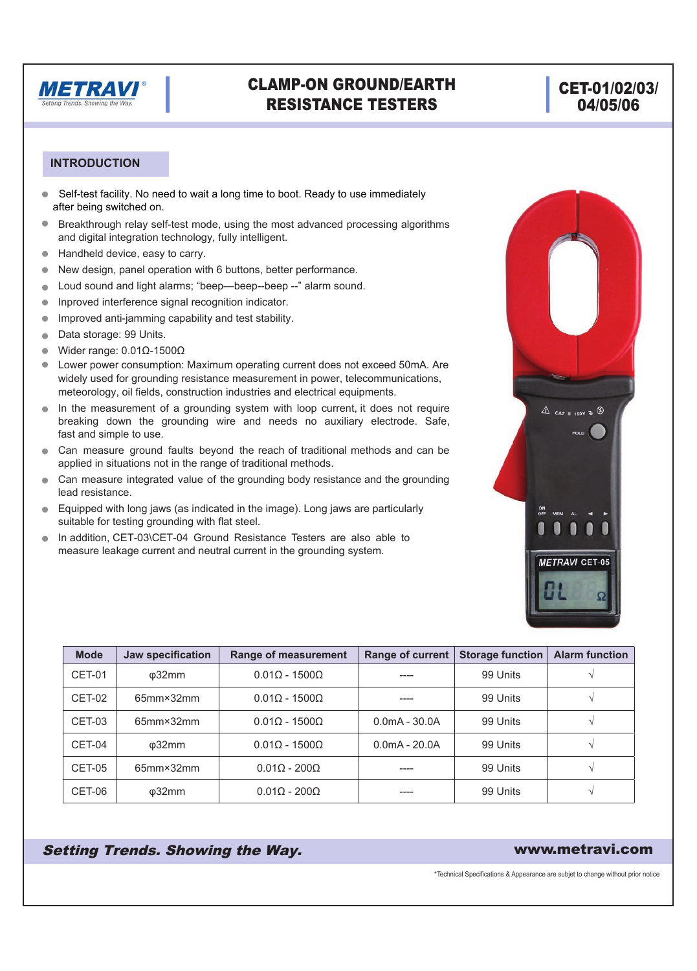

## CLAMP-ON GROUND/EARTH RESISTANCE TESTERS

## CET-01/02/03/ 04/05/06

 $\triangle$  cat = 150V =  $\circledcirc$ HOLD

**METRAVI CET-05** 

ON<br>OFF

#### **INTRODUCTION**

- Self-test facility. No need to wait a long time to boot. Ready to use immediately  $\bullet$ after being switched on.
- $\bullet$ Breakthrough relay self-test mode, using the most advanced processing algorithms and digital integration technology, fully intelligent.
- n Handheld device, easy to carry.
- n New design, panel operation with 6 buttons, better performance.
- n Loud sound and light alarms; "beep—beep--beep --" alarm sound.
- n Inproved interference signal recognition indicator.
- n Improved anti-jamming capability and test stability.
- $\bullet$ Data storage: 99 Units.
- n Wider range: 0.01Ω-1500Ω
- Lower power consumption: Maximum operating current does not exceed 50mA. Are widely used for grounding resistance measurement in power, telecommunications, meteorology, oil fields, construction industries and electrical equipments. n
- In the measurement of a grounding system with loop current, it does not require breaking down the grounding wire and needs no auxiliary electrode. Safe, fast and simple to use.  $\bullet$
- Can measure ground faults beyond the reach of traditional methods and can be applied in situations not in the range of traditional methods.
- Can measure integrated value of the grounding body resistance and the grounding lead resistance. n
- Equipped with long jaws (as indicated in the image). Long jaws are particularly suitable for testing grounding with flat steel.
- In addition, CET-03\CET-04 Ground Resistance Testers are also able to measure leakage current and neutral current in the grounding system. n

| <b>Mode</b> | Jaw specification     | Range of measurement       | <b>Range of current</b> | <b>Storage function</b> | <b>Alarm function</b> |
|-------------|-----------------------|----------------------------|-------------------------|-------------------------|-----------------------|
| CET-01      | $\varphi$ 32mm        | $0.01$ Q - 1500Q           |                         | 99 Units                |                       |
| CET-02      | 65mm×32mm             | $0.01$ Q - 1500Q           |                         | 99 Units                |                       |
| CET-03      | 65mm×32mm             | $0.01$ Q - 1500Q           | $0.0mA - 30.0A$         | 99 Units                |                       |
| CET-04      | $\phi$ 32mm           | $0.01$ Q - 1500Q           | $0.0mA - 20.0A$         | 99 Units                |                       |
| CET-05      | $65$ mm $\times$ 32mm | $0.01\Omega - 200\Omega$   |                         | 99 Units                |                       |
| CET-06      | $\varphi$ 32mm        | $0.01\Omega$ - $200\Omega$ |                         | 99 Units                |                       |

Setting Trends. Showing the Way. The Community of the Way www.metravi.com

\*Technical Specifications & Appearance are subjet to change without prior notice